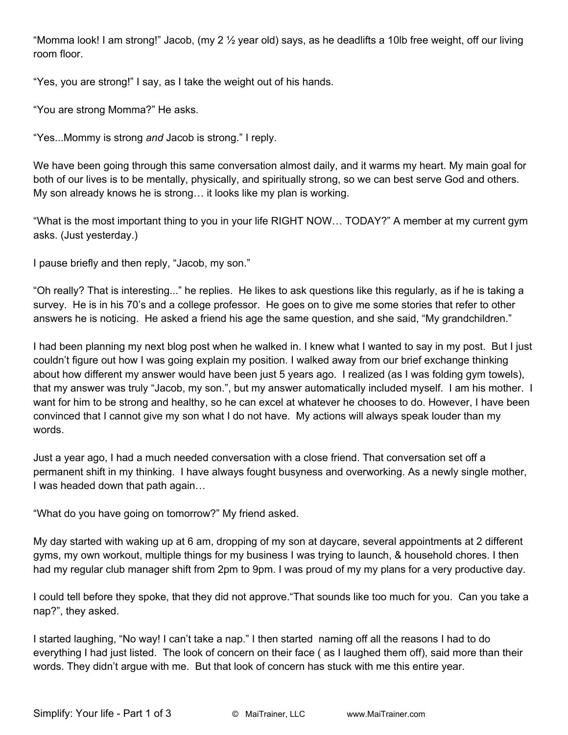"Momma look! I am strong!" Jacob, (my 2 ½ year old) says, as he deadlifts a 10lb free weight, off our living room floor.

"Yes, you are strong!" I say, as I take the weight out of his hands.

"You are strong Momma?" He asks.

"Yes...Mommy is strong *and* Jacob is strong." I reply.

We have been going through this same conversation almost daily, and it warms my heart. My main goal for both of our lives is to be mentally, physically, and spiritually strong, so we can best serve God and others. My son already knows he is strong… it looks like my plan is working.

"What is the most important thing to you in your life RIGHT NOW… TODAY?" A member at my current gym asks. (Just yesterday.)

I pause briefly and then reply, "Jacob, my son."

"Oh really? That is interesting..." he replies. He likes to ask questions like this regularly, as if he is taking a survey. He is in his 70's and a college professor. He goes on to give me some stories that refer to other answers he is noticing. He asked a friend his age the same question, and she said, "My grandchildren."

I had been planning my next blog post when he walked in. I knew what I wanted to say in my post. But I just couldn't figure out how I was going explain my position. I walked away from our brief exchange thinking about how different my answer would have been just 5 years ago. I realized (as I was folding gym towels), that my answer was truly "Jacob, my son.", but my answer automatically included myself. I am his mother. I want for him to be strong and healthy, so he can excel at whatever he chooses to do. However, I have been convinced that I cannot give my son what I do not have. My actions will always speak louder than my words.

Just a year ago, I had a much needed conversation with a close friend. That conversation set off a permanent shift in my thinking. I have always fought busyness and overworking. As a newly single mother, I was headed down that path again…

"What do you have going on tomorrow?" My friend asked.

My day started with waking up at 6 am, dropping of my son at daycare, several appointments at 2 different gyms, my own workout, multiple things for my business I was trying to launch, & household chores. I then had my regular club manager shift from 2pm to 9pm. I was proud of my my plans for a very productive day.

I could tell before they spoke, that they did not approve."That sounds like too much for you. Can you take a nap?", they asked.

I started laughing, "No way! I can't take a nap." I then started naming off all the reasons I had to do everything I had just listed. The look of concern on their face ( as I laughed them off), said more than their words. They didn't argue with me. But that look of concern has stuck with me this entire year.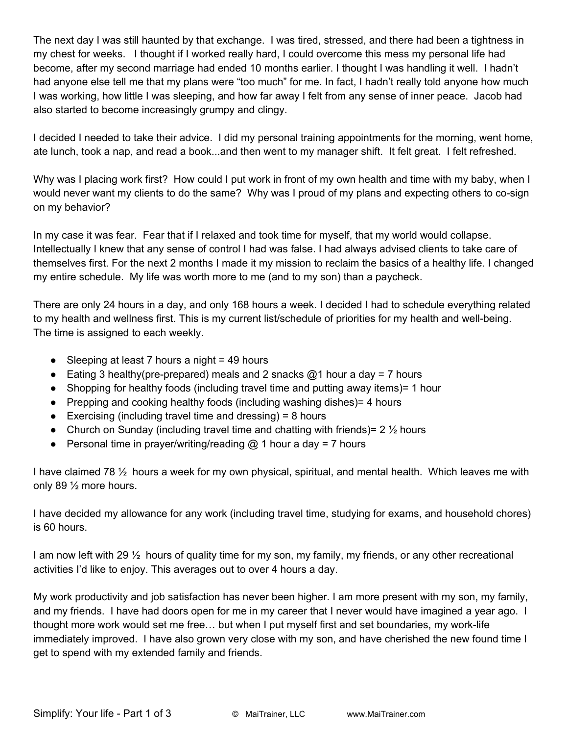The next day I was still haunted by that exchange. I was tired, stressed, and there had been a tightness in my chest for weeks. I thought if I worked really hard, I could overcome this mess my personal life had become, after my second marriage had ended 10 months earlier. I thought I was handling it well. I hadn't had anyone else tell me that my plans were "too much" for me. In fact, I hadn't really told anyone how much I was working, how little I was sleeping, and how far away I felt from any sense of inner peace. Jacob had also started to become increasingly grumpy and clingy.

I decided I needed to take their advice. I did my personal training appointments for the morning, went home, ate lunch, took a nap, and read a book...and then went to my manager shift. It felt great. I felt refreshed.

Why was I placing work first? How could I put work in front of my own health and time with my baby, when I would never want my clients to do the same? Why was I proud of my plans and expecting others to co-sign on my behavior?

In my case it was fear. Fear that if I relaxed and took time for myself, that my world would collapse. Intellectually I knew that any sense of control I had was false. I had always advised clients to take care of themselves first. For the next 2 months I made it my mission to reclaim the basics of a healthy life. I changed my entire schedule. My life was worth more to me (and to my son) than a paycheck.

There are only 24 hours in a day, and only 168 hours a week. I decided I had to schedule everything related to my health and wellness first. This is my current list/schedule of priorities for my health and well-being. The time is assigned to each weekly.

- Sleeping at least 7 hours a night = 49 hours
- Eating 3 healthy(pre-prepared) meals and 2 snacks  $@1$  hour a day = 7 hours
- Shopping for healthy foods (including travel time and putting away items) = 1 hour
- Prepping and cooking healthy foods (including washing dishes) = 4 hours
- $\bullet$  Exercising (including travel time and dressing) = 8 hours
- Church on Sunday (including travel time and chatting with friends) =  $2\frac{1}{2}$  hours
- Personal time in prayer/writing/reading  $@$  1 hour a day = 7 hours

I have claimed 78 ½ hours a week for my own physical, spiritual, and mental health. Which leaves me with only 89 ½ more hours.

I have decided my allowance for any work (including travel time, studying for exams, and household chores) is 60 hours.

I am now left with 29 ½ hours of quality time for my son, my family, my friends, or any other recreational activities I'd like to enjoy. This averages out to over 4 hours a day.

My work productivity and job satisfaction has never been higher. I am more present with my son, my family, and my friends. I have had doors open for me in my career that I never would have imagined a year ago. I thought more work would set me free... but when I put myself first and set boundaries, my work-life immediately improved. I have also grown very close with my son, and have cherished the new found time I get to spend with my extended family and friends.